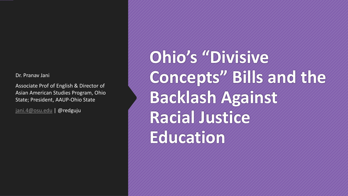Dr. Pranav Jani

Associate Prof of English & Director of Asian American Studies Program, Ohio State; President, AAUP-Ohio State

[jani.4@osu.edu](mailto:jani.4@osu.edu) | @redguju

**Ohio's "Divisive Concepts" Bills and the Backlash Against Racial Justice Education**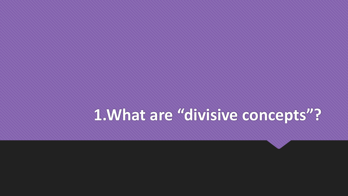## **1.What are "divisive concepts"?**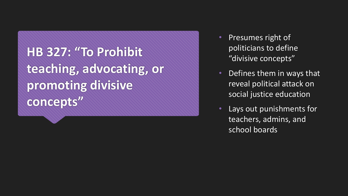**HB 327: "To Prohibit teaching, advocating, or promoting divisive concepts"**

- Presumes right of politicians to define "divisive concepts"
- Defines them in ways that reveal political attack on social justice education
- Lays out punishments for teachers, admins, and school boards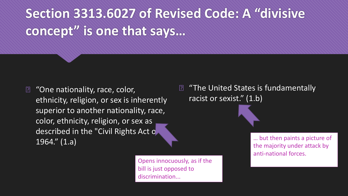## **Section 3313.6027 of Revised Code: A "divisive concept" is one that says…**

"One nationality, race, color,  $\boxed{?}$ ethnicity, religion, or sex is inherently superior to another nationality, race, color, ethnicity, religion, or sex as described in the "Civil Rights Act o 1964." (1.a)

> Opens innocuously, as if the bill is just opposed to discrimination...

"The United States is fundamentally  $\boxed{2}$ racist or sexist." (1.b)

> … but then paints a picture of the majority under attack by anti-national forces.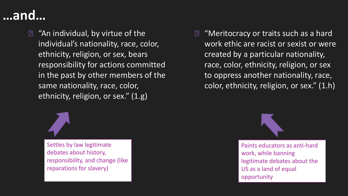## **…and…**

**E** "An individual, by virtue of the individual's nationality, race, color, ethnicity, religion, or sex, bears responsibility for actions committed in the past by other members of the same nationality, race, color, ethnicity, religion, or sex." (1.g)



Settles by law legitimate debates about history, responsibility, and change (like reparations for slavery)

**E** "Meritocracy or traits such as a hard work ethic are racist or sexist or were created by a particular nationality, race, color, ethnicity, religion, or sex to oppress another nationality, race, color, ethnicity, religion, or sex." (1.h)



Paints educators as anti-hard work, while banning legitimate debates about the US as a land of equal opportunity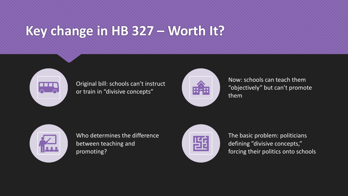## **Key change in HB 327 – Worth It?**



### Original bill: schools can't instruct or train in "divisive concepts"



Now: schools can teach them "objectively" but can't promote them



Who determines the difference between teaching and promoting?



The basic problem: politicians defining "divisive concepts," forcing their politics onto schools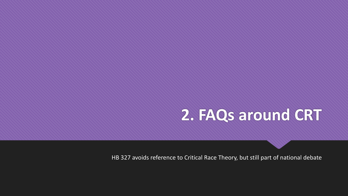## **2. FAQs around CRT**

HB 327 avoids reference to Critical Race Theory, but still part of national debate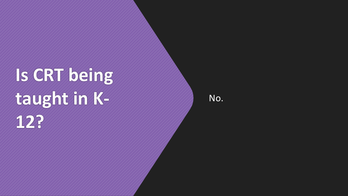# **Is CRT being taught in K - 12?**

No.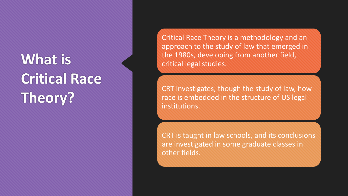# **What is Critical Race Theory?**

Critical Race Theory is a methodology and an approach to the study of law that emerged in the 1980s, developing from another field, critical legal studies.

CRT investigates, though the study of law, how race is embedded in the structure of US legal institutions.

CRT is taught in law schools, and its conclusions are investigated in some graduate classes in other fields.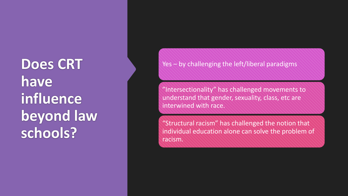**Does CRT have influence beyond law schools?**

Yes – by challenging the left/liberal paradigms

"Intersectionality" has challenged movements to understand that gender, sexuality, class, etc are interwined with race.

"Structural racism" has challenged the notion that individual education alone can solve the problem of racism.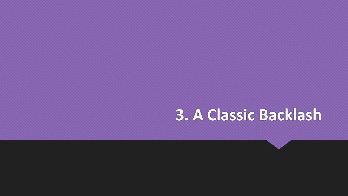## **3. A Classic Backlash**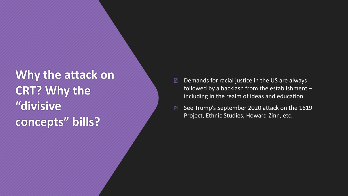**Why the attack on CRT? Why the "divisive concepts" bills?**

- Demands for racial justice in the US are always  $\boxed{?}$ followed by a backlash from the establishment – including in the realm of ideas and education.
- $\boxed{?}$ See Trump's September 2020 attack on the 1619 Project, Ethnic Studies, Howard Zinn, etc.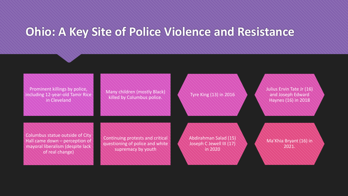### **Ohio: A Key Site of Police Violence and Resistance**